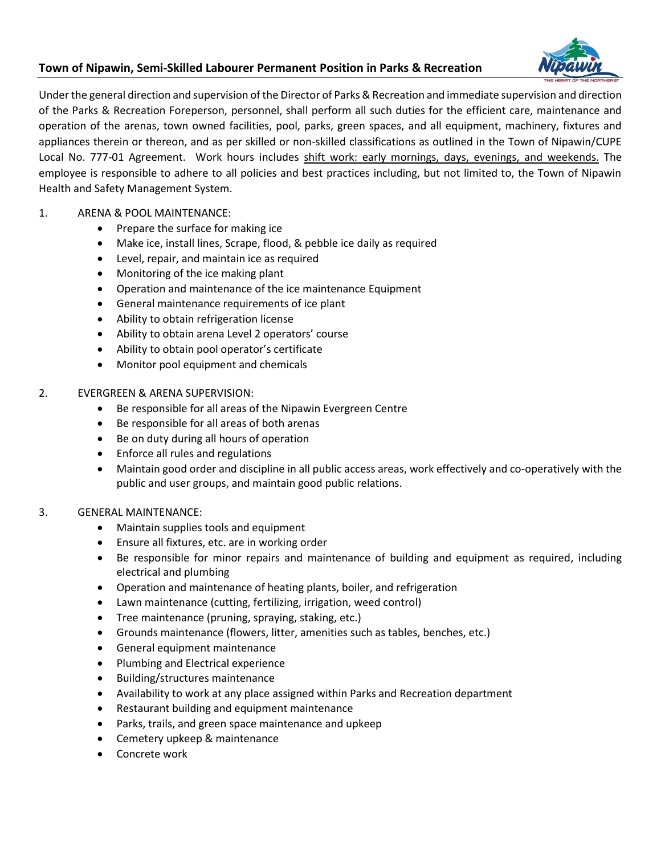# **Town of Nipawin, Semi-Skilled Labourer Permanent Position in Parks & Recreation**



Under the general direction and supervision of the Director of Parks & Recreation and immediate supervision and direction of the Parks & Recreation Foreperson, personnel, shall perform all such duties for the efficient care, maintenance and operation of the arenas, town owned facilities, pool, parks, green spaces, and all equipment, machinery, fixtures and appliances therein or thereon, and as per skilled or non-skilled classifications as outlined in the Town of Nipawin/CUPE Local No. 777-01 Agreement. Work hours includes shift work: early mornings, days, evenings, and weekends. The employee is responsible to adhere to all policies and best practices including, but not limited to, the Town of Nipawin Health and Safety Management System.

## 1. ARENA & POOL MAINTENANCE:

- Prepare the surface for making ice
- Make ice, install lines, Scrape, flood, & pebble ice daily as required
- Level, repair, and maintain ice as required
- Monitoring of the ice making plant
- Operation and maintenance of the ice maintenance Equipment
- General maintenance requirements of ice plant
- Ability to obtain refrigeration license
- Ability to obtain arena Level 2 operators' course
- Ability to obtain pool operator's certificate
- Monitor pool equipment and chemicals

### 2. EVERGREEN & ARENA SUPERVISION:

- Be responsible for all areas of the Nipawin Evergreen Centre
- Be responsible for all areas of both arenas
- Be on duty during all hours of operation
- Enforce all rules and regulations
- Maintain good order and discipline in all public access areas, work effectively and co-operatively with the public and user groups, and maintain good public relations.

## 3. GENERAL MAINTENANCE:

- Maintain supplies tools and equipment
- Ensure all fixtures, etc. are in working order
- Be responsible for minor repairs and maintenance of building and equipment as required, including electrical and plumbing
- Operation and maintenance of heating plants, boiler, and refrigeration
- Lawn maintenance (cutting, fertilizing, irrigation, weed control)
- Tree maintenance (pruning, spraying, staking, etc.)
- Grounds maintenance (flowers, litter, amenities such as tables, benches, etc.)
- General equipment maintenance
- Plumbing and Electrical experience
- Building/structures maintenance
- Availability to work at any place assigned within Parks and Recreation department
- Restaurant building and equipment maintenance
- Parks, trails, and green space maintenance and upkeep
- Cemetery upkeep & maintenance
- Concrete work